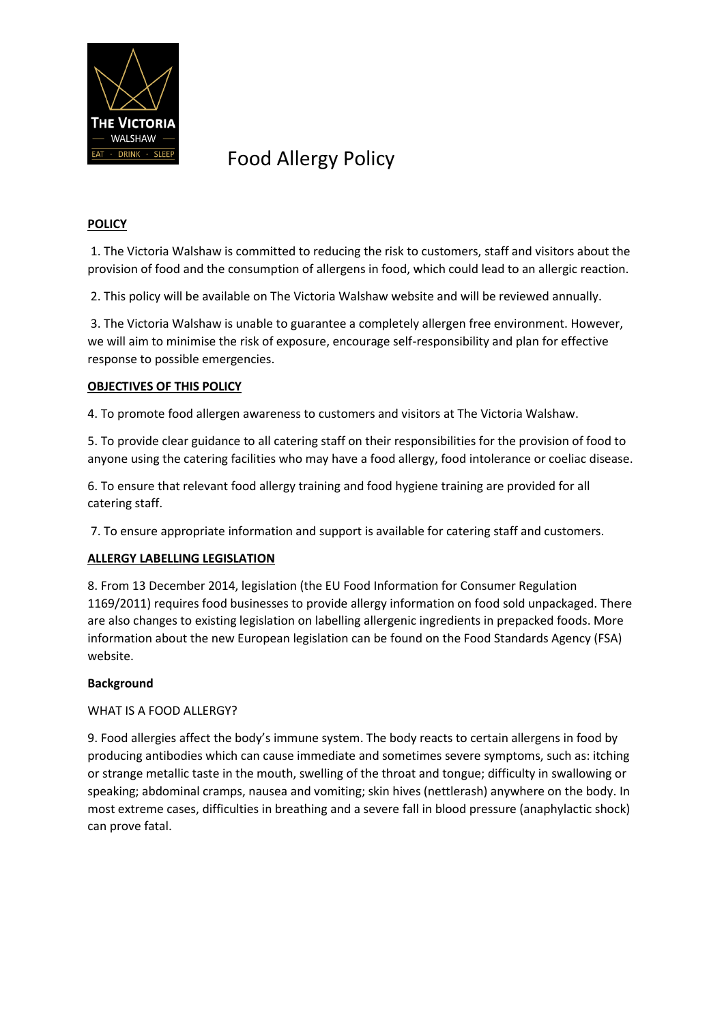

### **POLICY**

1. The Victoria Walshaw is committed to reducing the risk to customers, staff and visitors about the provision of food and the consumption of allergens in food, which could lead to an allergic reaction.

2. This policy will be available on The Victoria Walshaw website and will be reviewed annually.

3. The Victoria Walshaw is unable to guarantee a completely allergen free environment. However, we will aim to minimise the risk of exposure, encourage self-responsibility and plan for effective response to possible emergencies.

### **OBJECTIVES OF THIS POLICY**

4. To promote food allergen awareness to customers and visitors at The Victoria Walshaw.

5. To provide clear guidance to all catering staff on their responsibilities for the provision of food to anyone using the catering facilities who may have a food allergy, food intolerance or coeliac disease.

6. To ensure that relevant food allergy training and food hygiene training are provided for all catering staff.

7. To ensure appropriate information and support is available for catering staff and customers.

### **ALLERGY LABELLING LEGISLATION**

8. From 13 December 2014, legislation (the EU Food Information for Consumer Regulation 1169/2011) requires food businesses to provide allergy information on food sold unpackaged. There are also changes to existing legislation on labelling allergenic ingredients in prepacked foods. More information about the new European legislation can be found on the Food Standards Agency (FSA) website.

### **Background**

WHAT IS A FOOD ALLERGY?

9. Food allergies affect the body's immune system. The body reacts to certain allergens in food by producing antibodies which can cause immediate and sometimes severe symptoms, such as: itching or strange metallic taste in the mouth, swelling of the throat and tongue; difficulty in swallowing or speaking; abdominal cramps, nausea and vomiting; skin hives (nettlerash) anywhere on the body. In most extreme cases, difficulties in breathing and a severe fall in blood pressure (anaphylactic shock) can prove fatal.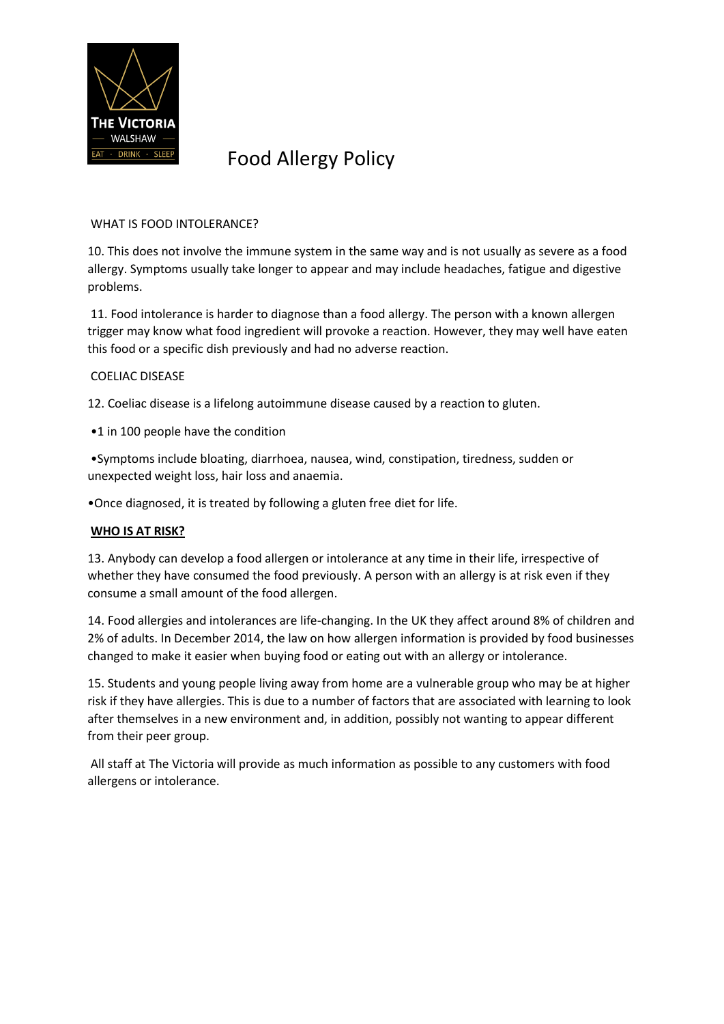

### WHAT IS FOOD INTOLERANCE?

10. This does not involve the immune system in the same way and is not usually as severe as a food allergy. Symptoms usually take longer to appear and may include headaches, fatigue and digestive problems.

11. Food intolerance is harder to diagnose than a food allergy. The person with a known allergen trigger may know what food ingredient will provoke a reaction. However, they may well have eaten this food or a specific dish previously and had no adverse reaction.

#### COELIAC DISEASE

12. Coeliac disease is a lifelong autoimmune disease caused by a reaction to gluten.

•1 in 100 people have the condition

•Symptoms include bloating, diarrhoea, nausea, wind, constipation, tiredness, sudden or unexpected weight loss, hair loss and anaemia.

•Once diagnosed, it is treated by following a gluten free diet for life.

### **WHO IS AT RISK?**

13. Anybody can develop a food allergen or intolerance at any time in their life, irrespective of whether they have consumed the food previously. A person with an allergy is at risk even if they consume a small amount of the food allergen.

14. Food allergies and intolerances are life-changing. In the UK they affect around 8% of children and 2% of adults. In December 2014, the law on how allergen information is provided by food businesses changed to make it easier when buying food or eating out with an allergy or intolerance.

15. Students and young people living away from home are a vulnerable group who may be at higher risk if they have allergies. This is due to a number of factors that are associated with learning to look after themselves in a new environment and, in addition, possibly not wanting to appear different from their peer group.

All staff at The Victoria will provide as much information as possible to any customers with food allergens or intolerance.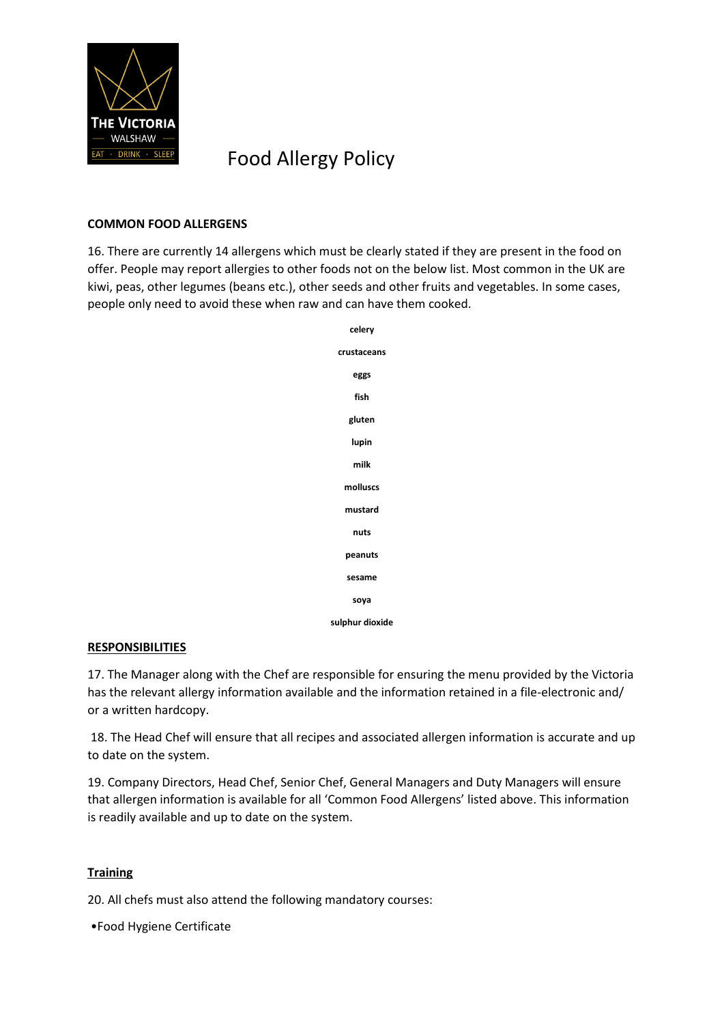

### **COMMON FOOD ALLERGENS**

16. There are currently 14 allergens which must be clearly stated if they are present in the food on offer. People may report allergies to other foods not on the below list. Most common in the UK are kiwi, peas, other legumes (beans etc.), other seeds and other fruits and vegetables. In some cases, people only need to avoid these when raw and can have them cooked.



### **RESPONSIBILITIES**

17. The Manager along with the Chef are responsible for ensuring the menu provided by the Victoria has the relevant allergy information available and the information retained in a file-electronic and/ or a written hardcopy.

18. The Head Chef will ensure that all recipes and associated allergen information is accurate and up to date on the system.

19. Company Directors, Head Chef, Senior Chef, General Managers and Duty Managers will ensure that allergen information is available for all 'Common Food Allergens' listed above. This information is readily available and up to date on the system.

### **Training**

20. All chefs must also attend the following mandatory courses:

•Food Hygiene Certificate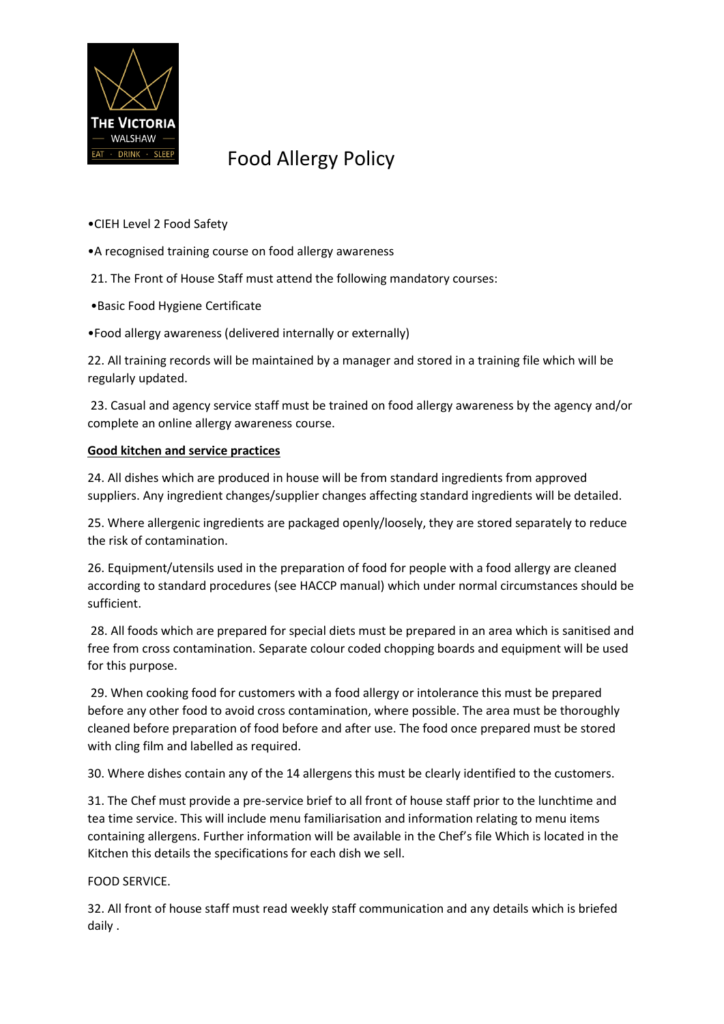

•CIEH Level 2 Food Safety

- •A recognised training course on food allergy awareness
- 21. The Front of House Staff must attend the following mandatory courses:
- •Basic Food Hygiene Certificate
- •Food allergy awareness (delivered internally or externally)

22. All training records will be maintained by a manager and stored in a training file which will be regularly updated.

23. Casual and agency service staff must be trained on food allergy awareness by the agency and/or complete an online allergy awareness course.

### **Good kitchen and service practices**

24. All dishes which are produced in house will be from standard ingredients from approved suppliers. Any ingredient changes/supplier changes affecting standard ingredients will be detailed.

25. Where allergenic ingredients are packaged openly/loosely, they are stored separately to reduce the risk of contamination.

26. Equipment/utensils used in the preparation of food for people with a food allergy are cleaned according to standard procedures (see HACCP manual) which under normal circumstances should be sufficient.

28. All foods which are prepared for special diets must be prepared in an area which is sanitised and free from cross contamination. Separate colour coded chopping boards and equipment will be used for this purpose.

29. When cooking food for customers with a food allergy or intolerance this must be prepared before any other food to avoid cross contamination, where possible. The area must be thoroughly cleaned before preparation of food before and after use. The food once prepared must be stored with cling film and labelled as required.

30. Where dishes contain any of the 14 allergens this must be clearly identified to the customers.

31. The Chef must provide a pre-service brief to all front of house staff prior to the lunchtime and tea time service. This will include menu familiarisation and information relating to menu items containing allergens. Further information will be available in the Chef's file Which is located in the Kitchen this details the specifications for each dish we sell.

### FOOD SERVICE.

32. All front of house staff must read weekly staff communication and any details which is briefed daily .